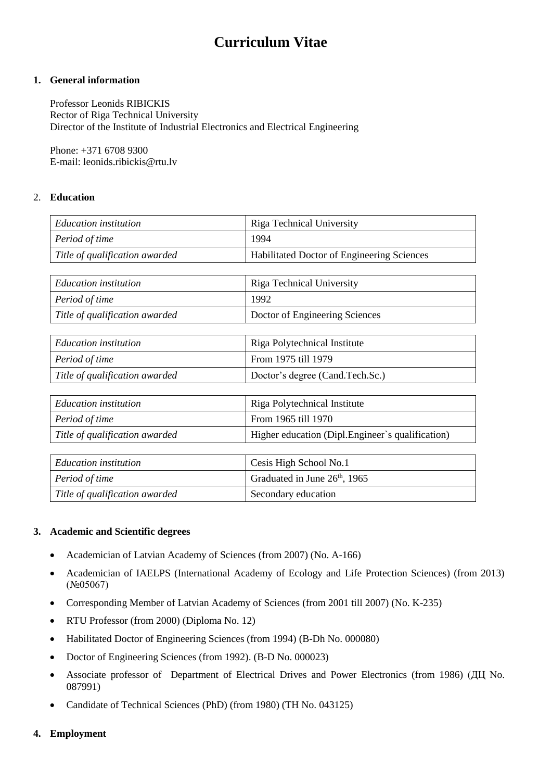# **Curriculum Vitae**

## **1. General information**

Professor Leonids RIBICKIS Rector of Riga Technical University Director of the Institute of Industrial Electronics and Electrical Engineering

Phone: +371 6708 9300 E-mail[: leonids.ribickis@rtu.lv](mailto:Leonids.Ribickis@rtu.lv)

# 2. **Education**

| <b>Education</b> institution   | Riga Technical University                  |  |
|--------------------------------|--------------------------------------------|--|
| Period of time                 | 1994                                       |  |
| Title of qualification awarded | Habilitated Doctor of Engineering Sciences |  |
|                                |                                            |  |
| <b>Education</b> institution   | Riga Technical University                  |  |
| Period of time                 | 1992                                       |  |
| Title of qualification awarded | Doctor of Engineering Sciences             |  |

| <i>Education institution</i>   | Riga Polytechnical Institute    |  |
|--------------------------------|---------------------------------|--|
| Period of time                 | From 1975 till 1979             |  |
| Title of qualification awarded | Doctor's degree (Cand.Tech.Sc.) |  |

| Education institution          | Riga Polytechnical Institute                      |  |
|--------------------------------|---------------------------------------------------|--|
| Period of time                 | From 1965 till 1970                               |  |
| Title of qualification awarded | Higher education (Dipl. Engineer's qualification) |  |

| Education institution          | Cesis High School No.1       |
|--------------------------------|------------------------------|
| Period of time                 | Graduated in June 26th, 1965 |
| Title of qualification awarded | Secondary education          |

#### **3. Academic and Scientific degrees**

- Academician of Latvian Academy of Sciences (from 2007) (No. A-166)
- Academician of IAELPS (International Academy of Ecology and Life Protection Sciences) (from 2013) (№05067)
- Corresponding Member of Latvian Academy of Sciences (from 2001 till 2007) (No. K-235)
- RTU Professor (from 2000) (Diploma No. 12)
- Habilitated Doctor of Engineering Sciences (from 1994) (B-Dh No. 000080)
- Doctor of Engineering Sciences (from 1992). (B-D No. 000023)
- Associate professor of Department of Electrical Drives and Power Electronics (from 1986) (ДЦ No. 087991)
- Candidate of Technical Sciences (PhD) (from 1980) (TH No. 043125)

# **4. Employment**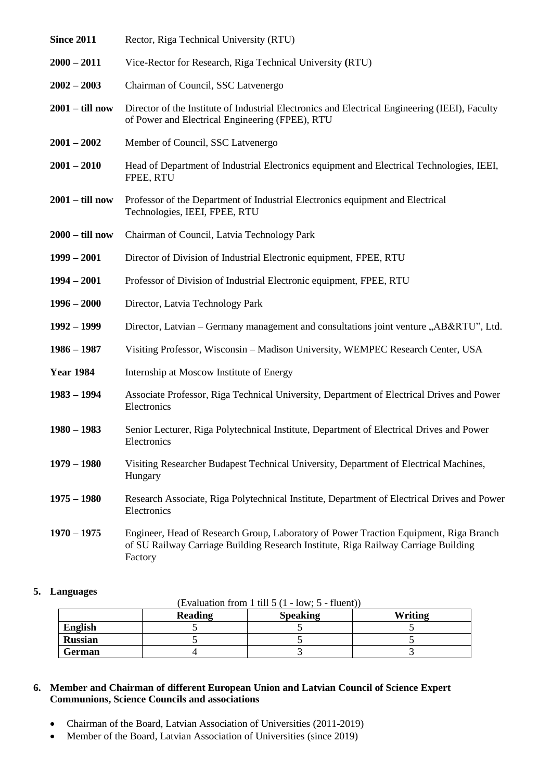| <b>Since 2011</b> | Rector, Riga Technical University (RTU)                                                                                                                                                |
|-------------------|----------------------------------------------------------------------------------------------------------------------------------------------------------------------------------------|
| $2000 - 2011$     | Vice-Rector for Research, Riga Technical University (RTU)                                                                                                                              |
| $2002 - 2003$     | Chairman of Council, SSC Latvenergo                                                                                                                                                    |
| $2001 -$ till now | Director of the Institute of Industrial Electronics and Electrical Engineering (IEEI), Faculty<br>of Power and Electrical Engineering (FPEE), RTU                                      |
| $2001 - 2002$     | Member of Council, SSC Latvenergo                                                                                                                                                      |
| $2001 - 2010$     | Head of Department of Industrial Electronics equipment and Electrical Technologies, IEEI,<br>FPEE, RTU                                                                                 |
| $2001 -$ till now | Professor of the Department of Industrial Electronics equipment and Electrical<br>Technologies, IEEI, FPEE, RTU                                                                        |
| $2000 -$ till now | Chairman of Council, Latvia Technology Park                                                                                                                                            |
| $1999 - 2001$     | Director of Division of Industrial Electronic equipment, FPEE, RTU                                                                                                                     |
| $1994 - 2001$     | Professor of Division of Industrial Electronic equipment, FPEE, RTU                                                                                                                    |
| $1996 - 2000$     | Director, Latvia Technology Park                                                                                                                                                       |
| $1992 - 1999$     | Director, Latvian – Germany management and consultations joint venture "AB&RTU", Ltd.                                                                                                  |
| $1986 - 1987$     | Visiting Professor, Wisconsin - Madison University, WEMPEC Research Center, USA                                                                                                        |
| <b>Year 1984</b>  | Internship at Moscow Institute of Energy                                                                                                                                               |
| $1983 - 1994$     | Associate Professor, Riga Technical University, Department of Electrical Drives and Power<br>Electronics                                                                               |
| $1980 - 1983$     | Senior Lecturer, Riga Polytechnical Institute, Department of Electrical Drives and Power<br>Electronics                                                                                |
| $1979 - 1980$     | Visiting Researcher Budapest Technical University, Department of Electrical Machines,<br>Hungary                                                                                       |
| $1975 - 1980$     | Research Associate, Riga Polytechnical Institute, Department of Electrical Drives and Power<br>Electronics                                                                             |
| $1970 - 1975$     | Engineer, Head of Research Group, Laboratory of Power Traction Equipment, Riga Branch<br>of SU Railway Carriage Building Research Institute, Riga Railway Carriage Building<br>Factory |

## **5. Languages**

(Evaluation from 1 till 5 (1 - low; 5 - fluent))

|                | <b>Reading</b> | <b>Speaking</b> | Writing |
|----------------|----------------|-----------------|---------|
| English        |                |                 |         |
| <b>Russian</b> |                |                 |         |
| <b>German</b>  |                |                 |         |

# **6. Member and Chairman of different European Union and Latvian Council of Science Expert Communions, Science Councils and associations**

- Chairman of the Board, Latvian Association of Universities (2011-2019)
- Member of the Board, Latvian Association of Universities (since 2019)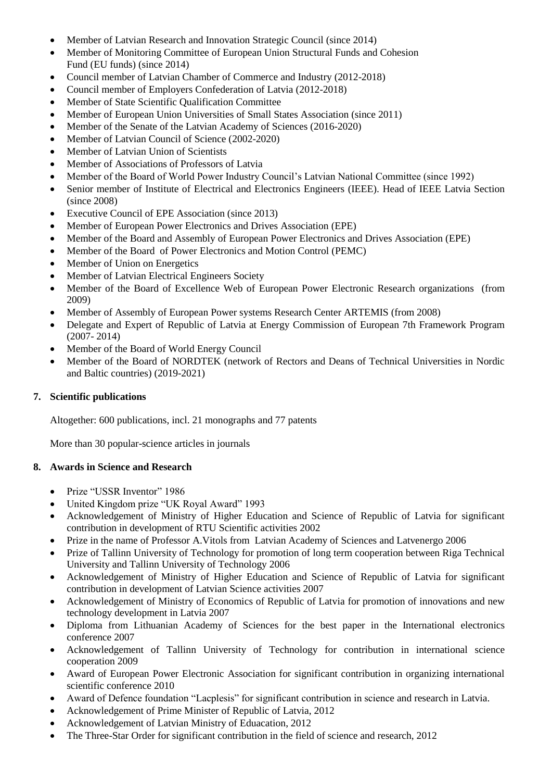- Member of Latvian Research and Innovation Strategic Council (since 2014)
- Member of Monitoring Committee of European Union Structural Funds and Cohesion Fund (EU funds) (since 2014)
- Council member of Latvian Chamber of Commerce and Industry (2012-2018)
- Council member of Employers Confederation of Latvia (2012-2018)
- Member of State Scientific Qualification Committee
- Member of European Union Universities of Small States Association (since 2011)
- Member of the Senate of the Latvian Academy of Sciences (2016-2020)
- Member of Latvian Council of Science (2002-2020)
- Member of Latvian Union of Scientists
- Member of Associations of Professors of Latvia
- Member of the Board of World Power Industry Council's Latvian National Committee (since 1992)
- Senior member of Institute of Electrical and Electronics Engineers (IEEE). Head of IEEE Latvia Section (since 2008)
- Executive Council of EPE Association (since 2013)
- Member of European Power Electronics and Drives Association (EPE)
- Member of the Board and Assembly of European Power Electronics and Drives Association (EPE)
- Member of the Board of Power Electronics and Motion Control (PEMC)
- Member of Union on Energetics
- Member of Latvian Electrical Engineers Society
- Member of the Board of Excellence Web of European Power Electronic Research organizations (from 2009)
- Member of Assembly of European Power systems Research Center ARTEMIS (from 2008)
- Delegate and Expert of Republic of Latvia at Energy Commission of European 7th Framework Program (2007- 2014)
- Member of the Board of World Energy Council
- Member of the Board of NORDTEK (network of Rectors and Deans of Technical Universities in Nordic and Baltic countries) (2019-2021)

# **7. Scientific publications**

Altogether: 600 publications, incl. 21 monographs and 77 patents

More than 30 popular-science articles in journals

# **8. Awards in Science and Research**

- Prize "USSR Inventor" 1986
- United Kingdom prize "UK Royal Award" 1993
- Acknowledgement of Ministry of Higher Education and Science of Republic of Latvia for significant contribution in development of RTU Scientific activities 2002
- Prize in the name of Professor A.Vitols from Latvian Academy of Sciences and Latvenergo 2006
- Prize of Tallinn University of Technology for promotion of long term cooperation between Riga Technical University and Tallinn University of Technology 2006
- Acknowledgement of Ministry of Higher Education and Science of Republic of Latvia for significant contribution in development of Latvian Science activities 2007
- Acknowledgement of Ministry of Economics of Republic of Latvia for promotion of innovations and new technology development in Latvia 2007
- Diploma from Lithuanian Academy of Sciences for the best paper in the International electronics conference 2007
- Acknowledgement of Tallinn University of Technology for contribution in international science cooperation 2009
- Award of European Power Electronic Association for significant contribution in organizing international scientific conference 2010
- Award of Defence foundation "Lacplesis" for significant contribution in science and research in Latvia.
- Acknowledgement of Prime Minister of Republic of Latvia, 2012
- Acknowledgement of Latvian Ministry of Eduacation, 2012
- The Three-Star Order for significant contribution in the field of science and research, 2012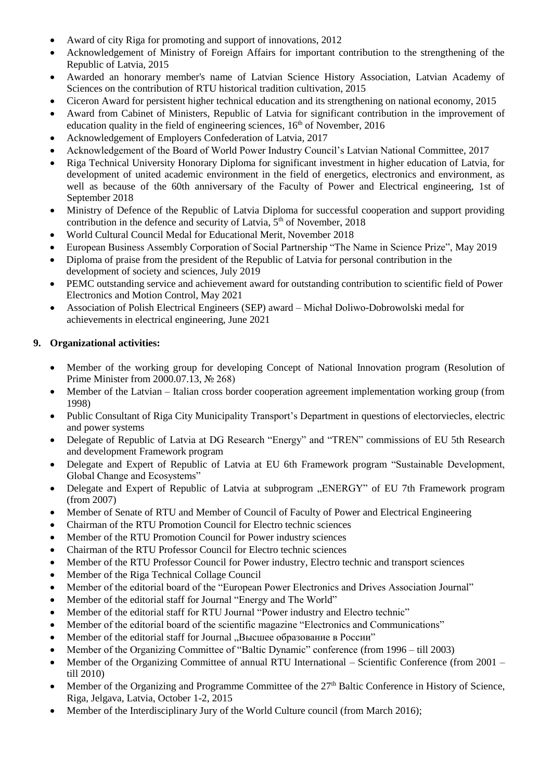- Award of city Riga for promoting and support of innovations, 2012
- Acknowledgement of Ministry of Foreign Affairs for important contribution to the strengthening of the Republic of Latvia, 2015
- Awarded an honorary member's name of Latvian Science History Association, Latvian Academy of Sciences on the contribution of RTU historical tradition cultivation, 2015
- Ciceron Award for persistent higher technical education and its strengthening on national economy, 2015
- Award from Cabinet of Ministers, Republic of Latvia for significant contribution in the improvement of education quality in the field of engineering sciences,  $16<sup>th</sup>$  of November, 2016
- Acknowledgement of Employers Confederation of Latvia, 2017
- Acknowledgement of the Board of World Power Industry Council's Latvian National Committee, 2017
- Riga Technical University Honorary Diploma for significant investment in higher education of Latvia, for development of united academic environment in the field of energetics, electronics and environment, as well as because of the 60th anniversary of the Faculty of Power and Electrical engineering, 1st of September 2018
- Ministry of Defence of the Republic of Latvia Diploma for successful cooperation and support providing contribution in the defence and security of Latvia,  $5<sup>th</sup>$  of November, 2018
- World Cultural Council Medal for Educational Merit, November 2018
- European Business Assembly Corporation of Social Partnership "The Name in Science Prize", May 2019
- Diploma of praise from the president of the Republic of Latvia for personal contribution in the development of society and sciences, July 2019
- PEMC outstanding service and achievement award for outstanding contribution to scientific field of Power Electronics and Motion Control, May 2021
- Association of Polish Electrical Engineers (SEP) award Michał Doliwo-Dobrowolski medal for achievements in electrical engineering, June 2021

# **9. Organizational activities:**

- Member of the working group for developing Concept of National Innovation program (Resolution of Prime Minister from 2000.07.13, № 268)
- Member of the Latvian Italian cross border cooperation agreement implementation working group (from 1998)
- Public Consultant of Riga City Municipality Transport's Department in questions of electorviecles, electric and power systems
- Delegate of Republic of Latvia at DG Research "Energy" and "TREN" commissions of EU 5th Research and development Framework program
- Delegate and Expert of Republic of Latvia at EU 6th Framework program "Sustainable Development, Global Change and Ecosystems"
- Delegate and Expert of Republic of Latvia at subprogram "ENERGY" of EU 7th Framework program (from 2007)
- Member of Senate of RTU and Member of Council of Faculty of Power and Electrical Engineering
- Chairman of the RTU Promotion Council for Electro technic sciences
- Member of the RTU Promotion Council for Power industry sciences
- Chairman of the RTU Professor Council for Electro technic sciences
- Member of the RTU Professor Council for Power industry, Electro technic and transport sciences
- Member of the Riga Technical Collage Council
- Member of the editorial board of the "European Power Electronics and Drives Association Journal"
- Member of the editorial staff for Journal "Energy and The World"
- Member of the editorial staff for RTU Journal "Power industry and Electro technic"
- Member of the editorial board of the scientific magazine "Electronics and Communications"
- Member of the editorial staff for Journal "Высшее образование в России"
- Member of the Organizing Committee of "Baltic Dynamic" conference (from 1996 till 2003)
- Member of the Organizing Committee of annual RTU International Scientific Conference (from 2001 till 2010)
- Member of the Organizing and Programme Committee of the  $27<sup>th</sup>$  Baltic Conference in History of Science, Riga, Jelgava, Latvia, October 1-2, 2015
- Member of the Interdisciplinary Jury of the World Culture council (from March 2016);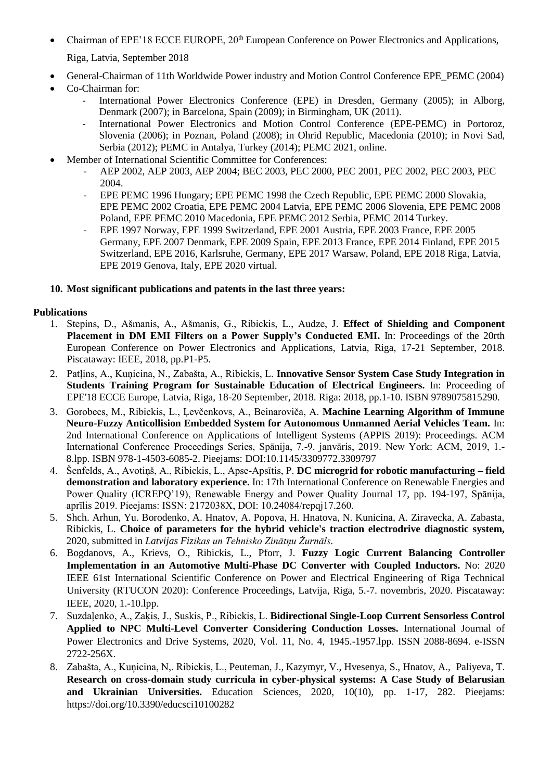- Chairman of EPE'18 ECCE EUROPE, 20<sup>th</sup> European Conference on Power Electronics and Applications, Riga, Latvia, September 2018
- General-Chairman of 11th Worldwide Power industry and Motion Control Conference EPE\_PEMC (2004)
- Co-Chairman for:
	- International Power Electronics Conference (EPE) in Dresden, Germany (2005); in Alborg, Denmark (2007); in Barcelona, Spain (2009); in Birmingham, UK (2011).
	- International Power Electronics and Motion Control Conference (EPE-PEMC) in Portoroz, Slovenia (2006); in Poznan, Poland (2008); in Ohrid Republic, Macedonia (2010); in Novi Sad, Serbia (2012); PEMC in Antalya, Turkey (2014); PEMC 2021, online.
	- Member of International Scientific Committee for Conferences:
		- AEP 2002, AEP 2003, AEP 2004; BEC 2003, PEC 2000, PEC 2001, PEC 2002, PEC 2003, PEC 2004.
		- EPE PEMC 1996 Hungary; EPE PEMC 1998 the Czech Republic, EPE PEMC 2000 Slovakia, EPE PEMC 2002 Croatia, EPE PEMC 2004 Latvia, EPE PEMC 2006 Slovenia, EPE PEMC 2008 Poland, EPE PEMC 2010 Macedonia, EPE PEMC 2012 Serbia, PEMC 2014 Turkey.
		- EPE 1997 Norway, EPE 1999 Switzerland, EPE 2001 Austria, EPE 2003 France, EPE 2005 Germany, EPE 2007 Denmark, EPE 2009 Spain, EPE 2013 France, EPE 2014 Finland, EPE 2015 Switzerland, EPE 2016, Karlsruhe, Germany, EPE 2017 Warsaw, Poland, EPE 2018 Riga, Latvia, EPE 2019 Genova, Italy, EPE 2020 virtual.

## **10. Most significant publications and patents in the last three years:**

# **Publications**

- 1. Stepins, D., Ašmanis, A., Ašmanis, G., Ribickis, L., Audze, J. **Effect of Shielding and Component Placement in DM EMI Filters on a Power Supply's Conducted EMI.** In: Proceedings of the 20rth European Conference on Power Electronics and Applications, Latvia, Riga, 17-21 September, 2018. Piscataway: IEEE, 2018, pp.P1-P5.
- 2. Patļins, A., Kuņicina, N., Zabašta, A., Ribickis, L. **Innovative Sensor System Case Study Integration in Students Training Program for Sustainable Education of Electrical Engineers.** In: Proceeding of EPE'18 ECCE Europe, Latvia, Riga, 18-20 September, 2018. Riga: 2018, pp.1-10. ISBN 9789075815290.
- 3. Gorobecs, M., Ribickis, L., Ļevčenkovs, A., Beinaroviča, A. **Machine Learning Algorithm of Immune Neuro-Fuzzy Anticollision Embedded System for Autonomous Unmanned Aerial Vehicles Team.** In: 2nd International Conference on Applications of Intelligent Systems (APPIS 2019): Proceedings. ACM International Conference Proceedings Series, Spānija, 7.-9. janvāris, 2019. New York: ACM, 2019, 1.- 8.lpp. ISBN 978-1-4503-6085-2. Pieejams: DOI:10.1145/3309772.3309797
- 4. Šenfelds, A., Avotiņš, A., Ribickis, L., Apse-Apsītis, P. **DC microgrid for robotic manufacturing – field demonstration and laboratory experience.** In: 17th International Conference on Renewable Energies and Power Quality (ICREPQ'19), Renewable Energy and Power Quality Journal 17, pp. 194-197, Spānija, aprīlis 2019. Pieejams: ISSN: 2172038X, DOI: 10.24084/repqj17.260.
- 5. Shch. Arhun, Yu. Borodenko, A. Hnatov, A. Popova, H. Hnatova, N. Kunicina, A. Ziravecka, A. Zabasta, Ribickis, L. **Choice of parameters for the hybrid vehicle's traction electrodrive diagnostic system,** 2020, submitted in *Latvijas Fizikas un Tehnisko Zinātņu Žurnāls.*
- 6. Bogdanovs, A., Krievs, O., Ribickis, L., Pforr, J. **Fuzzy Logic Current Balancing Controller Implementation in an Automotive Multi-Phase DC Converter with Coupled Inductors.** No: 2020 IEEE 61st International Scientific Conference on Power and Electrical Engineering of Riga Technical University (RTUCON 2020): Conference Proceedings, Latvija, Riga, 5.-7. novembris, 2020. Piscataway: IEEE, 2020, 1.-10.lpp.
- 7. Suzdaļenko, A., Zaķis, J., Suskis, P., Ribickis, L. **Bidirectional Single-Loop Current Sensorless Control Applied to NPC Multi-Level Converter Considering Conduction Losses.** International Journal of Power Electronics and Drive Systems, 2020, Vol. 11, No. 4, 1945.-1957.lpp. ISSN 2088-8694. e-ISSN 2722-256X.
- 8. Zabašta, A., Kuņicina, N,. Ribickis, L., Peuteman, J., Kazymyr, V., Hvesenya, S., Hnatov, A., Paliyeva, T. **Research on cross-domain study curricula in cyber-physical systems: A Case Study of Belarusian and Ukrainian Universities.** Education Sciences, 2020, 10(10), pp. 1-17, 282. Pieejams: https://doi.org/10.3390/educsci10100282